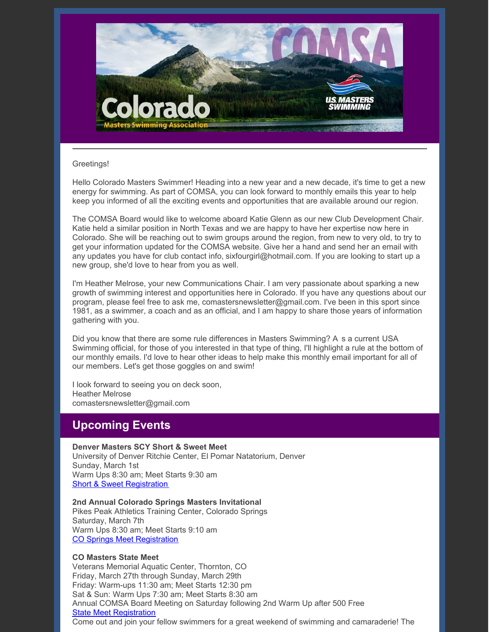

#### Greetings!

Hello Colorado Masters Swimmer! Heading into a new year and a new decade, it's time to get a new energy for swimming. As part of COMSA, you can look forward to monthly emails this year to help keep you informed of all the exciting events and opportunities that are available around our region.

The COMSA Board would like to welcome aboard Katie Glenn as our new Club Development Chair. Katie held a similar position in North Texas and we are happy to have her expertise now here in Colorado. She will be reaching out to swim groups around the region, from new to very old, to try to get your information updated for the COMSA website. Give her a hand and send her an email with any updates you have for club contact info, sixfourgirl@hotmail.com. If you are looking to start up a new group, she'd love to hear from you as well.

I'm Heather Melrose, your new Communications Chair. I am very passionate about sparking a new growth of swimming interest and opportunities here in Colorado. If you have any questions about our program, please feel free to ask me, comastersnewsletter@gmail.com. I've been in this sport since 1981, as a swimmer, a coach and as an official, and I am happy to share those years of information gathering with you.

Did you know that there are some rule differences in Masters Swimming? A s a current USA Swimming official, for those of you interested in that type of thing, I'll highlight a rule at the bottom of our monthly emails. I'd love to hear other ideas to help make this monthly email important for all of our members. Let's get those goggles on and swim!

I look forward to seeing you on deck soon, Heather Melrose comastersnewsletter@gmail.com

## **Upcoming Events**

**Denver Masters SCY Short & Sweet Meet** University of Denver Ritchie Center, El Pomar Natatorium, Denver Sunday, March 1st Warm Ups 8:30 am; Meet Starts 9:30 am Short & Sweet [Registration](https://www.clubassistant.com/club/meet_information.cfm?c=2307&smid=13094)

**2nd Annual Colorado Springs Masters Invitational** Pikes Peak Athletics Training Center, Colorado Springs Saturday, March 7th

Warm Ups 8:30 am; Meet Starts 9:10 am CO Springs Meet [Registration](https://www.clubassistant.com/club/meet_information.cfm?c=2500&smid=12887)

### **CO Masters State Meet**

Veterans Memorial Aquatic Center, Thornton, CO Friday, March 27th through Sunday, March 29th Friday: Warm-ups 11:30 am; Meet Starts 12:30 pm Sat & Sun: Warm Ups 7:30 am; Meet Starts 8:30 am Annual COMSA Board Meeting on Saturday following 2nd Warm Up after 500 Free State Meet [Registration](https://www.clubassistant.com/club/meet_information.cfm?c=1279&smid=12866) Come out and join your fellow swimmers for a great weekend of swimming and camaraderie! The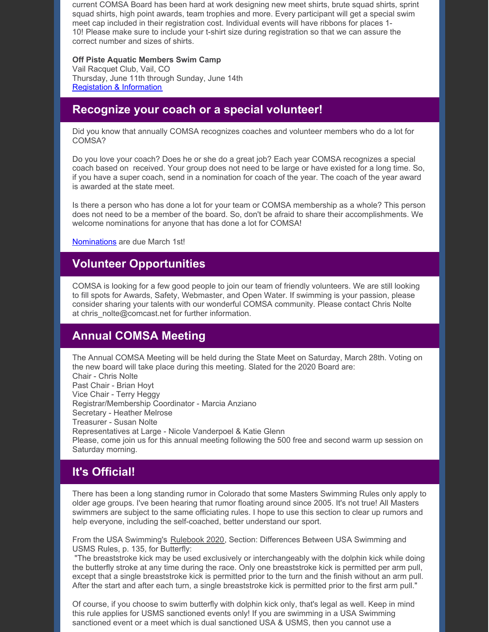current COMSA Board has been hard at work designing new meet shirts, brute squad shirts, sprint squad shirts, high point awards, team trophies and more. Every participant will get a special swim meet cap included in their registration cost. Individual events will have ribbons for places 1- 10! Please make sure to include your t-shirt size during registration so that we can assure the correct number and sizes of shirts.

#### **Off Piste Aquatic Members Swim Camp**

Vail Racquet Club, Vail, CO Thursday, June 11th through Sunday, June 14th Registation & [Information](https://www.offpisteaquatics.com/what-is-off-piste-1)

### **Recognize your coach or a special volunteer!**

Did you know that annually COMSA recognizes coaches and volunteer members who do a lot for COMSA?

Do you love your coach? Does he or she do a great job? Each year COMSA recognizes a special coach based on received. Your group does not need to be large or have existed for a long time. So, if you have a super coach, send in a nomination for coach of the year. The coach of the year award is awarded at the state meet.

Is there a person who has done a lot for your team or COMSA membership as a whole? This person does not need to be a member of the board. So, don't be afraid to share their accomplishments. We welcome nominations for anyone that has done a lot for COMSA!

[Nominations](http://www.comsa.org) are due March 1st!

### **Volunteer Opportunities**

COMSA is looking for a few good people to join our team of friendly volunteers. We are still looking to fill spots for Awards, Safety, Webmaster, and Open Water. If swimming is your passion, please consider sharing your talents with our wonderful COMSA community. Please contact Chris Nolte at chris\_nolte@comcast.net for further information.

## **Annual COMSA Meeting**

The Annual COMSA Meeting will be held during the State Meet on Saturday, March 28th. Voting on the new board will take place during this meeting. Slated for the 2020 Board are: Chair - Chris Nolte Past Chair - Brian Hoyt Vice Chair - Terry Heggy Registrar/Membership Coordinator - Marcia Anziano Secretary - Heather Melrose Treasurer - Susan Nolte Representatives at Large - Nicole Vanderpoel & Katie Glenn Please, come join us for this annual meeting following the 500 free and second warm up session on Saturday morning.

# **It's Official!**

There has been a long standing rumor in Colorado that some Masters Swimming Rules only apply to older age groups. I've been hearing that rumor floating around since 2005. It's not true! All Masters swimmers are subject to the same officiating rules. I hope to use this section to clear up rumors and help everyone, including the self-coached, better understand our sport.

From the USA Swimming's Rulebook 2020, Section: Differences Between USA Swimming and USMS Rules, p. 135, for Butterfly:

"The breaststroke kick may be used exclusively or interchangeably with the dolphin kick while doing the butterfly stroke at any time during the race. Only one breaststroke kick is permitted per arm pull, except that a single breaststroke kick is permitted prior to the turn and the finish without an arm pull. After the start and after each turn, a single breaststroke kick is permitted prior to the first arm pull."

Of course, if you choose to swim butterfly with dolphin kick only, that's legal as well. Keep in mind this rule applies for USMS sanctioned events only! If you are swimming in a USA Swimming sanctioned event or a meet which is dual sanctioned USA & USMS, then you cannot use a